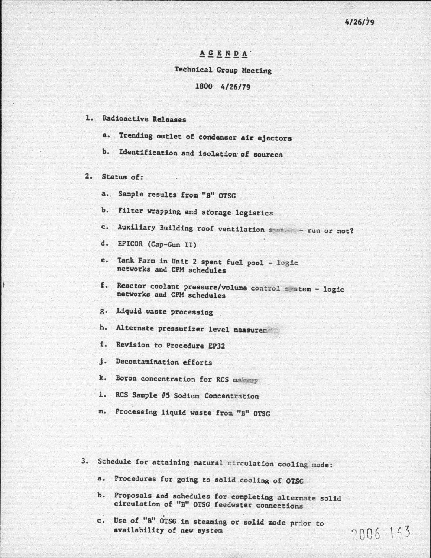#### $\underline{A} \underline{G} \underline{E} \underline{N} \underline{D} \underline{A}$

#### Teehnical Croup Meeting

### 1800 4/26/79

#### 1. Radioactive Releases

a. Trending outlet of condenser air ejectors

b. Identification and isolation of sources

2. Status of:

a.. Sample results from "B" OTSG

b. Filter wrapping and storage logistics

c. Auxiliary Building roof ventilation system - run or not?

d. EPICOR (Cap-Gun II)

- e. Tank Farm in Unit 2 spent fuel pool logic networks and CPM schedules
- f. Reactor coolant pressure/volume control system logic networks and CPM schedules
- g. Liquid waste processing

h. Alternate pressurizer level measurer

i. Revision to Procedure EP32

j. Decontamination efforts

k. Boron concentration for RCS making

- 1. RCS Sample #5 Sodium Concentration
- m. Processing liquid waste from "B" OTSG
- 3. Schedule for attaining natural circulation cooling mode:
	- a. Procedures for going to solid cooling of OTSG
	- b. Proposals and schedules for completing alternate solid circulation of "B" OTSG feedwater connections
	- c. Use of "B" OTSG in steaming or solid mode prior to availability of new system  $\overline{\gamma \cap \cap \dots \cap \dots}$